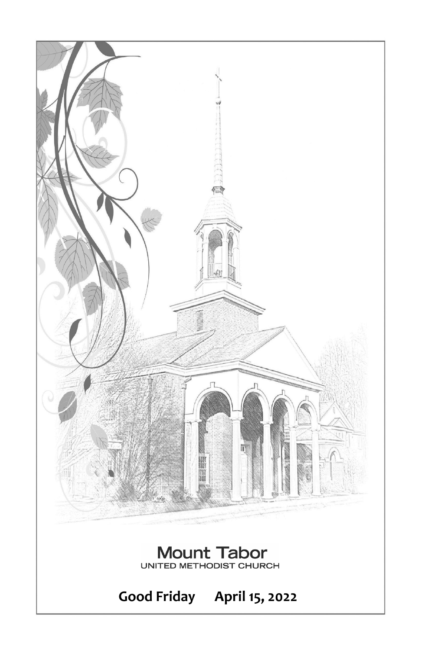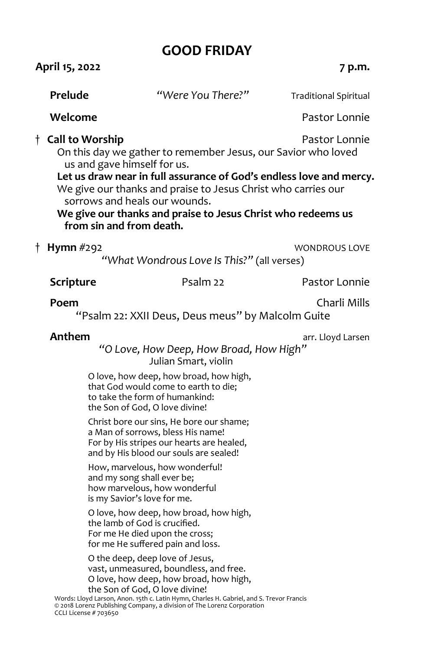# **GOOD FRIDAY**

|                                                                                                                                                                                                                                                                                                                                                                                                                                                                                                                                                                                                                                                                                                                                                                                                                                                                                                                                                                                                               | 7 p.m.                |
|---------------------------------------------------------------------------------------------------------------------------------------------------------------------------------------------------------------------------------------------------------------------------------------------------------------------------------------------------------------------------------------------------------------------------------------------------------------------------------------------------------------------------------------------------------------------------------------------------------------------------------------------------------------------------------------------------------------------------------------------------------------------------------------------------------------------------------------------------------------------------------------------------------------------------------------------------------------------------------------------------------------|-----------------------|
| "Were You There?"                                                                                                                                                                                                                                                                                                                                                                                                                                                                                                                                                                                                                                                                                                                                                                                                                                                                                                                                                                                             | Traditional Spiritual |
|                                                                                                                                                                                                                                                                                                                                                                                                                                                                                                                                                                                                                                                                                                                                                                                                                                                                                                                                                                                                               | Pastor Lonnie         |
| On this day we gather to remember Jesus, our Savior who loved<br>us and gave himself for us.<br>Let us draw near in full assurance of God's endless love and mercy.<br>We give our thanks and praise to Jesus Christ who carries our<br>sorrows and heals our wounds.<br>We give our thanks and praise to Jesus Christ who redeems us<br>from sin and from death.                                                                                                                                                                                                                                                                                                                                                                                                                                                                                                                                                                                                                                             | Pastor Lonnie         |
| "What Wondrous Love Is This?" (all verses)                                                                                                                                                                                                                                                                                                                                                                                                                                                                                                                                                                                                                                                                                                                                                                                                                                                                                                                                                                    | <b>WONDROUS LOVE</b>  |
| Psalm 22                                                                                                                                                                                                                                                                                                                                                                                                                                                                                                                                                                                                                                                                                                                                                                                                                                                                                                                                                                                                      | Pastor Lonnie         |
| "Psalm 22: XXII Deus, Deus meus" by Malcolm Guite                                                                                                                                                                                                                                                                                                                                                                                                                                                                                                                                                                                                                                                                                                                                                                                                                                                                                                                                                             | Charli Mills          |
| "O Love, How Deep, How Broad, How High"<br>Julian Smart, violin<br>O love, how deep, how broad, how high,<br>that God would come to earth to die;<br>to take the form of humankind:<br>the Son of God, O love divine!<br>Christ bore our sins, He bore our shame;<br>a Man of sorrows, bless His name!<br>For by His stripes our hearts are healed,<br>and by His blood our souls are sealed!<br>How, marvelous, how wonderful!<br>and my song shall ever be;<br>how marvelous, how wonderful<br>is my Savior's love for me.<br>O love, how deep, how broad, how high,<br>the lamb of God is crucified.<br>For me He died upon the cross;<br>for me He suffered pain and loss.<br>O the deep, deep love of Jesus,<br>vast, unmeasured, boundless, and free.<br>O love, how deep, how broad, how high,<br>the Son of God, O love divine!<br>Words: Lloyd Larson, Anon. 15th c. Latin Hymn, Charles H. Gabriel, and S. Trevor Francis<br>© 2018 Lorenz Publishing Company, a division of The Lorenz Corporation | arr. Lloyd Larsen     |
|                                                                                                                                                                                                                                                                                                                                                                                                                                                                                                                                                                                                                                                                                                                                                                                                                                                                                                                                                                                                               |                       |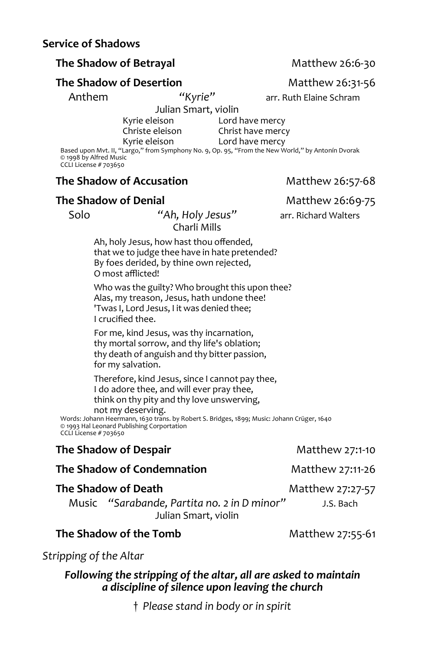## **The Shadow of Betrayal Matthew 26:6-30**

## **The Shadow of Desertion** Matthew 26:31-56

Julian Smart, violinmmm

Kyrie eleison Lord have mercy<br>Christe eleison Christ have merc Christ have mercy

Kyrie eleison Lord have mercy Based upon Mvt. II, "Largo," from Symphony No. 9, Op. 95, "From the New World," by Antonín Dvorak © 1998 by Alfred Music CCLI License # 703650

#### **The Shadow of Accusation** Matthew 26:57-68

#### **The Shadow of Denial** Matthew 26:69-75

Charli Mills

Ah, holy Jesus, how hast thou offended, that we to judge thee have in hate pretended? By foes derided, by thine own rejected, O most afflicted!

Who was the guilty? Who brought this upon thee? Alas, my treason, Jesus, hath undone thee! 'Twas I, Lord Jesus, I it was denied thee; I crucified thee.

For me, kind Jesus, was thy incarnation, thy mortal sorrow, and thy life's oblation; thy death of anguish and thy bitter passion, for my salvation.

Therefore, kind Jesus, since I cannot pay thee, I do adore thee, and will ever pray thee, think on thy pity and thy love unswerving, not my deserving.

Words: Johann Heermann, 1630 trans. by Robert S. Bridges, 1899; Music: Johann Crüger, 1640 © 1993 Hal Leonard Publishing Corportation CCLI License # 703650

#### **The Shadow of Despair** Matthew 27:1-10

**The Shadow of Condemnation** Matthew 27:11-26

## **The Shadow of Death** Matthew 27:27-57

Music *"Sarabande, Partita no. 2 in D minor"* J.S. Bach Julian Smart, violin

#### **The Shadow of the Tomb** Matthew 27:55-61

*Stripping of the Altar*

#### *Following the stripping of the altar, all are asked to maintain a discipline of silence upon leaving the church*

† *Please stand in body or in spirit*

Anthem **"***Kyrie*" arr. Ruth Elaine Schram

Solo *"Ah, Holy Jesus"* arr. Richard Walters